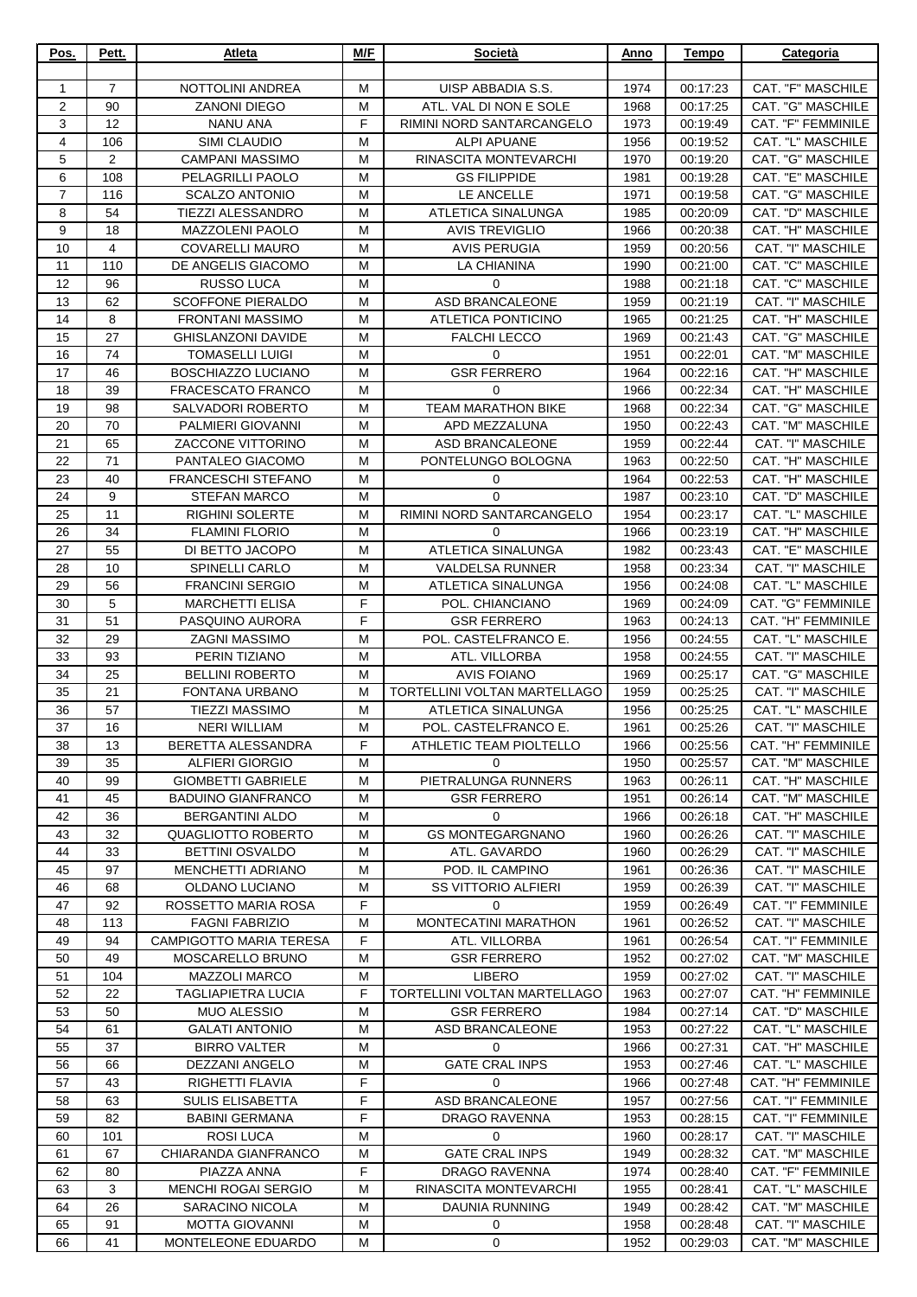| Pos.           | Pett.          | Atleta                                           | M/F    | Società                                            | Anno         | Tempo                | Categoria                               |
|----------------|----------------|--------------------------------------------------|--------|----------------------------------------------------|--------------|----------------------|-----------------------------------------|
| $\mathbf{1}$   | $\overline{7}$ | <b>NOTTOLINI ANDREA</b>                          | М      | UISP ABBADIA S.S.                                  | 1974         | 00:17:23             | CAT. "F" MASCHILE                       |
| $\overline{2}$ | 90             | <b>ZANONI DIEGO</b>                              | M      | ATL. VAL DI NON E SOLE                             | 1968         | 00:17:25             | CAT. "G" MASCHILE                       |
| 3              | 12             | <b>NANU ANA</b>                                  | F      | RIMINI NORD SANTARCANGELO                          | 1973         | 00:19:49             | CAT. "F" FEMMINILE                      |
| 4              | 106            | SIMI CLAUDIO                                     | M      | <b>ALPI APUANE</b>                                 | 1956         | 00:19:52             | CAT. "L" MASCHILE                       |
| $\mathbf 5$    | 2              | <b>CAMPANI MASSIMO</b>                           | M      | RINASCITA MONTEVARCHI                              | 1970         | 00:19:20             | CAT. "G" MASCHILE                       |
| 6              | 108            | PELAGRILLI PAOLO                                 | M      | <b>GS FILIPPIDE</b>                                | 1981         | 00:19:28             | CAT. "E" MASCHILE                       |
| $\overline{7}$ | 116            | <b>SCALZO ANTONIO</b>                            | M      | LE ANCELLE                                         | 1971         | 00:19:58             | CAT. "G" MASCHILE                       |
| 8              | 54             | TIEZZI ALESSANDRO                                | M      | <b>ATLETICA SINALUNGA</b>                          | 1985         | 00:20:09             | CAT. "D" MASCHILE                       |
| 9<br>10        | 18<br>4        | <b>MAZZOLENI PAOLO</b><br><b>COVARELLI MAURO</b> | M<br>M | <b>AVIS TREVIGLIO</b><br><b>AVIS PERUGIA</b>       | 1966<br>1959 | 00:20:38<br>00:20:56 | CAT. "H" MASCHILE<br>CAT. "I" MASCHILE  |
| 11             | 110            | DE ANGELIS GIACOMO                               | M      | LA CHIANINA                                        | 1990         | 00:21:00             | CAT. "C" MASCHILE                       |
| 12             | 96             | <b>RUSSO LUCA</b>                                | M      | 0                                                  | 1988         | 00:21:18             | <b>CAT. "C" MASCHILE</b>                |
| 13             | 62             | <b>SCOFFONE PIERALDO</b>                         | M      | ASD BRANCALEONE                                    | 1959         | 00:21:19             | CAT. "I" MASCHILE                       |
| 14             | 8              | <b>FRONTANI MASSIMO</b>                          | M      | ATLETICA PONTICINO                                 | 1965         | 00:21:25             | CAT. "H" MASCHILE                       |
| 15             | 27             | <b>GHISLANZONI DAVIDE</b>                        | M      | <b>FALCHI LECCO</b>                                | 1969         | 00:21:43             | CAT. "G" MASCHILE                       |
| 16             | 74             | <b>TOMASELLI LUIGI</b>                           | M      | 0                                                  | 1951         | 00:22:01             | CAT. "M" MASCHILE                       |
| 17             | 46             | BOSCHIAZZO LUCIANO                               | M      | <b>GSR FERRERO</b>                                 | 1964         | 00:22:16             | CAT. "H" MASCHILE                       |
| 18             | 39             | <b>FRACESCATO FRANCO</b>                         | M      | 0                                                  | 1966         | 00:22:34             | CAT. "H" MASCHILE                       |
| 19             | 98             | SALVADORI ROBERTO                                | M      | <b>TEAM MARATHON BIKE</b>                          | 1968         | 00:22:34             | CAT. "G" MASCHILE                       |
| 20             | 70             | PALMIERI GIOVANNI                                | M      | APD MEZZALUNA                                      | 1950         | 00:22:43             | CAT. "M" MASCHILE<br>CAT. "I" MASCHILE  |
| 21<br>22       | 65<br>71       | ZACCONE VITTORINO<br>PANTALEO GIACOMO            | M<br>M | ASD BRANCALEONE<br>PONTELUNGO BOLOGNA              | 1959<br>1963 | 00:22:44<br>00:22:50 | CAT. "H" MASCHILE                       |
| 23             | 40             | <b>FRANCESCHI STEFANO</b>                        | M      | 0                                                  | 1964         | 00:22:53             | CAT. "H" MASCHILE                       |
| 24             | 9              | <b>STEFAN MARCO</b>                              | M      | 0                                                  | 1987         | 00:23:10             | CAT. "D" MASCHILE                       |
| 25             | 11             | <b>RIGHINI SOLERTE</b>                           | M      | RIMINI NORD SANTARCANGELO                          | 1954         | 00:23:17             | CAT. "L" MASCHILE                       |
| 26             | 34             | <b>FLAMINI FLORIO</b>                            | M      | $\mathbf 0$                                        | 1966         | 00:23:19             | CAT. "H" MASCHILE                       |
| 27             | 55             | DI BETTO JACOPO                                  | M      | ATLETICA SINALUNGA                                 | 1982         | 00:23:43             | CAT. "E" MASCHILE                       |
| 28             | 10             | <b>SPINELLI CARLO</b>                            | M      | <b>VALDELSA RUNNER</b>                             | 1958         | 00:23:34             | CAT. "I" MASCHILE                       |
| 29             | 56             | <b>FRANCINI SERGIO</b>                           | M      | ATLETICA SINALUNGA                                 | 1956         | 00:24:08             | CAT. "L" MASCHILE                       |
| 30             | $\sqrt{5}$     | <b>MARCHETTI ELISA</b>                           | F      | POL. CHIANCIANO                                    | 1969         | 00:24:09             | CAT. "G" FEMMINILE                      |
| 31             | 51<br>29       | PASQUINO AURORA<br><b>ZAGNI MASSIMO</b>          | F<br>M | <b>GSR FERRERO</b><br>POL. CASTELFRANCO E.         | 1963         | 00:24:13             | CAT. "H" FEMMINILE<br>CAT. "L" MASCHILE |
| 32<br>33       | 93             | PERIN TIZIANO                                    | M      | ATL. VILLORBA                                      | 1956<br>1958 | 00:24:55<br>00:24:55 | CAT. "I" MASCHILE                       |
| 34             | 25             | <b>BELLINI ROBERTO</b>                           | M      | <b>AVIS FOIANO</b>                                 | 1969         | 00:25:17             | CAT. "G" MASCHILE                       |
| 35             | 21             | FONTANA URBANO                                   | M      | TORTELLINI VOLTAN MARTELLAGO                       | 1959         | 00:25:25             | CAT. "I" MASCHILE                       |
| 36             | 57             | <b>TIEZZI MASSIMO</b>                            | M      | ATLETICA SINALUNGA                                 | 1956         | 00:25:25             | CAT. "L" MASCHILE                       |
| 37             | 16             | <b>NERI WILLIAM</b>                              | M      | POL. CASTELFRANCO E.                               | 1961         | 00:25:26             | CAT. "I" MASCHILE                       |
| 38             | 13             | BERETTA ALESSANDRA                               | F      | ATHLETIC TEAM PIOLTELLO                            | 1966         | 00:25:56             | CAT. "H" FEMMINILE                      |
| 39             | 35             | <b>ALFIERI GIORGIO</b>                           | м      | $\Omega$                                           | 1950         | 00:25:57             | CAT. "M" MASCHILE                       |
| 40             | 99             | <b>GIOMBETTI GABRIELE</b>                        | м      | PIETRALUNGA RUNNERS                                | 1963         | 00:26:11             | CAT. "H" MASCHILE                       |
| 41             | 45<br>36       | <b>BADUINO GIANFRANCO</b>                        | M      | <b>GSR FERRERO</b>                                 | 1951         | 00:26:14<br>00:26:18 | CAT. "M" MASCHILE                       |
| 42<br>43       | 32             | <b>BERGANTINI ALDO</b><br>QUAGLIOTTO ROBERTO     | M<br>M | 0<br><b>GS MONTEGARGNANO</b>                       | 1966<br>1960 | 00:26:26             | CAT. "H" MASCHILE<br>CAT. "I" MASCHILE  |
| 44             | 33             | <b>BETTINI OSVALDO</b>                           | M      | ATL. GAVARDO                                       | 1960         | 00:26:29             | CAT. "I" MASCHILE                       |
| 45             | 97             | MENCHETTI ADRIANO                                | M      | POD. IL CAMPINO                                    | 1961         | 00:26:36             | CAT. "I" MASCHILE                       |
| 46             | 68             | <b>OLDANO LUCIANO</b>                            | M      | <b>SS VITTORIO ALFIERI</b>                         | 1959         | 00:26:39             | CAT. "I" MASCHILE                       |
| 47             | 92             | ROSSETTO MARIA ROSA                              | F      | 0                                                  | 1959         | 00:26:49             | CAT. "I" FEMMINILE                      |
| 48             | 113            | <b>FAGNI FABRIZIO</b>                            | M      | <b>MONTECATINI MARATHON</b>                        | 1961         | 00:26:52             | CAT. "I" MASCHILE                       |
| 49             | 94             | <b>CAMPIGOTTO MARIA TERESA</b>                   | F      | ATL. VILLORBA                                      | 1961         | 00:26:54             | CAT. "I" FEMMINILE                      |
| 50             | 49             | MOSCARELLO BRUNO                                 | М      | <b>GSR FERRERO</b>                                 | 1952         | 00:27:02             | CAT. "M" MASCHILE                       |
| 51             | 104            | <b>MAZZOLI MARCO</b>                             | м<br>F | LIBERO                                             | 1959         | 00:27:02             | CAT. "I" MASCHILE                       |
| 52<br>53       | 22<br>50       | <b>TAGLIAPIETRA LUCIA</b><br><b>MUO ALESSIO</b>  | M      | TORTELLINI VOLTAN MARTELLAGO<br><b>GSR FERRERO</b> | 1963<br>1984 | 00:27:07<br>00:27:14 | CAT. "H" FEMMINILE<br>CAT. "D" MASCHILE |
| 54             | 61             | <b>GALATI ANTONIO</b>                            | M      | ASD BRANCALEONE                                    | 1953         | 00:27:22             | CAT. "L" MASCHILE                       |
| 55             | 37             | <b>BIRRO VALTER</b>                              | М      | 0                                                  | 1966         | 00:27:31             | CAT. "H" MASCHILE                       |
| 56             | 66             | DEZZANI ANGELO                                   | M      | <b>GATE CRAL INPS</b>                              | 1953         | 00:27:46             | CAT. "L" MASCHILE                       |
| 57             | 43             | RIGHETTI FLAVIA                                  | F      | $\mathbf 0$                                        | 1966         | 00:27:48             | CAT. "H" FEMMINILE                      |
| 58             | 63             | <b>SULIS ELISABETTA</b>                          | F      | ASD BRANCALEONE                                    | 1957         | 00:27:56             | CAT. "I" FEMMINILE                      |
| 59             | 82             | <b>BABINI GERMANA</b>                            | F      | DRAGO RAVENNA                                      | 1953         | 00:28:15             | CAT. "I" FEMMINILE                      |
| 60             | 101            | <b>ROSI LUCA</b>                                 | M      | $\Omega$                                           | 1960         | 00:28:17             | CAT. "I" MASCHILE                       |
| 61             | 67             | CHIARANDA GIANFRANCO                             | M      | <b>GATE CRAL INPS</b>                              | 1949         | 00:28:32             | CAT. "M" MASCHILE                       |
| 62<br>63       | 80<br>3        | PIAZZA ANNA<br><b>MENCHI ROGAI SERGIO</b>        | F<br>M | DRAGO RAVENNA<br>RINASCITA MONTEVARCHI             | 1974<br>1955 | 00:28:40<br>00:28:41 | CAT. "F" FEMMINILE<br>CAT. "L" MASCHILE |
| 64             | 26             | SARACINO NICOLA                                  | м      | DAUNIA RUNNING                                     | 1949         | 00:28:42             | CAT. "M" MASCHILE                       |
| 65             | 91             | <b>MOTTA GIOVANNI</b>                            | м      | 0                                                  | 1958         | 00:28:48             | CAT. "I" MASCHILE                       |
| 66             | 41             | MONTELEONE EDUARDO                               | M      | $\mathbf 0$                                        | 1952         | 00:29:03             | CAT. "M" MASCHILE                       |